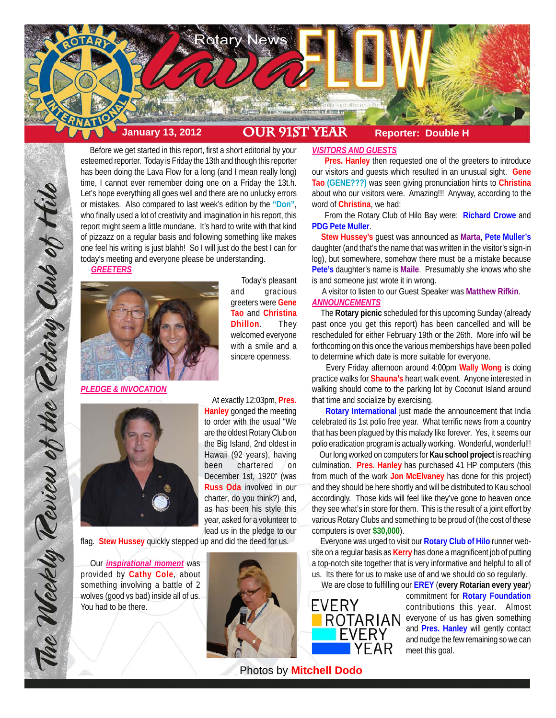

 Before we get started in this report, first a short editorial by your esteemed reporter. Today is Friday the 13th and though this reporter has been doing the Lava Flow for a long (and I mean really long) time, I cannot ever remember doing one on a Friday the 13t.h. Let's hope everything all goes well and there are no unlucky errors or mistakes. Also compared to last week's edition by the **"Don"**, who finally used a lot of creativity and imagination in his report, this report might seem a little mundane. It's hard to write with that kind of pizzazz on a regular basis and following something like makes one feel his writing is just blahh! So I will just do the best I can for today's meeting and everyone please be understanding. *GREETERS*



 Today's pleasant and gracious greeters were **Gene Tao** and **Christina Dhillon**. They welcomed everyone with a smile and a sincere openness.

*PLEDGE & INVOCATION*

The Weekly Review of the Retary Club of Hilo



 At exactly 12:03pm, **Pres. Hanley** gonged the meeting to order with the usual "We are the oldest Rotary Club on the Big Island, 2nd oldest in Hawaii (92 years), having been chartered on December 1st, 1920" (was **Russ Oda** involved in our charter, do you think?) and, as has been his style this year, asked for a volunteer to lead us in the pledge to our

flag. **Stew Hussey** quickly stepped up and did the deed for us.

 Our *inspirational moment* was provided by **Cathy Cole**, about something involving a battle of 2 wolves (good vs bad) inside all of us. You had to be there.



# *VISITORS AND GUESTS*

 **Pres. Hanley** then requested one of the greeters to introduce our visitors and guests which resulted in an unusual sight. **Gene Tao (GENE???)** was seen giving pronunciation hints to **Christina** about who our visitors were. Amazing!!! Anyway, according to the word of **Christina**, we had:

 From the Rotary Club of Hilo Bay were: **Richard Crowe** and **PDG Pete Muller**.

 **Stew Hussey's** guest was announced as **Marta**, **Pete Muller's** daughter (and that's the name that was written in the visitor's sign-in log), but somewhere, somehow there must be a mistake because **Pete's** daughter's name is **Maile**. Presumably she knows who she is and someone just wrote it in wrong.

 A visitor to listen to our Guest Speaker was **Matthew Rifkin**. *ANNOUNCEMENTS*

 The **Rotary picnic** scheduled for this upcoming Sunday (already past once you get this report) has been cancelled and will be rescheduled for either February 19th or the 26th. More info will be forthcoming on this once the various memberships have been polled to determine which date is more suitable for everyone.

 Every Friday afternoon around 4:00pm **Wally Wong** is doing practice walks for **Shauna's** heart walk event. Anyone interested in walking should come to the parking lot by Coconut Island around that time and socialize by exercising.

 **Rotary International** just made the announcement that India celebrated its 1st polio free year. What terrific news from a country that has been plagued by this malady like forever. Yes, it seems our polio eradication program is actually working. Wonderful, wonderful!!

 Our long worked on computers for **Kau school project** is reaching culmination. **Pres. Hanley** has purchased 41 HP computers (this from much of the work **Jon McElvaney** has done for this project) and they should be here shortly and will be distributed to Kau school accordingly. Those kids will feel like they've gone to heaven once they see what's in store for them. This is the result of a joint effort by various Rotary Clubs and something to be proud of (the cost of these computers is over **\$30,000**).

 Everyone was urged to visit our **Rotary Club of Hilo** runner website on a regular basis as **Kerry** has done a magnificent job of putting a top-notch site together that is very informative and helpful to all of us. Its there for us to make use of and we should do so regularly.

We are close to fulfilling our **EREY** (**every Rotarian every year**)



commitment for **Rotary Foundation** contributions this year. Almost everyone of us has given something and **Pres. Hanley** will gently contact and nudge the few remaining so we can meet this goal.

Photos by **Mitchell Dodo**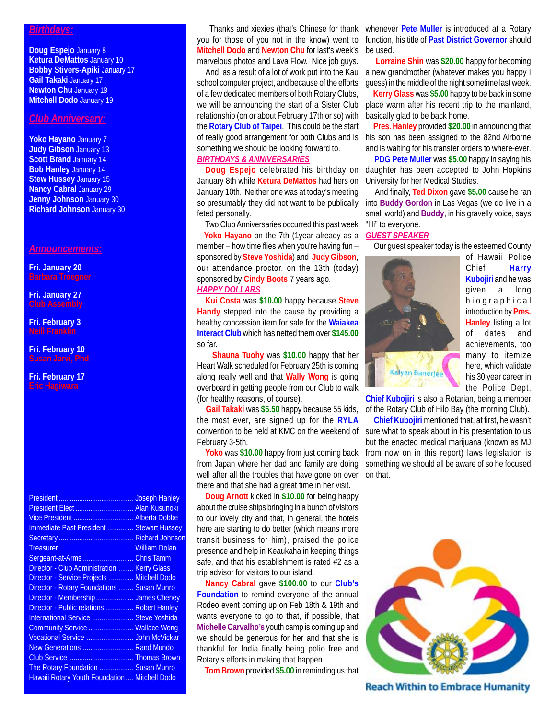#### *Birthdays:*

**Doug Espejo** January 8 **Ketura DeMattos** January 10 **Bobby Stivers-Apiki** January 17 **Gail Takaki** January 17 **Newton Chu** January 19 **Mitchell Dodo** January 19

#### *Club Anniversary:*

**Yoko Hayano** January 7 **Judy Gibson** January 13 **Scott Brand** January 14 **Bob Hanley** January 14 **Stew Hussey** January 15 **Nancy Cabral** January 29 **Jenny Johnson** January 30 **Richard Johnson** January 30

#### *Announcements:*

**Fri. January 20 Barbara Troegner**

**Fri. January 27**

**Fri. February 3**

### **Fri. February 10**

# **Fri. February 17**

|                                               | <b>Joseph Hanley</b>   |
|-----------------------------------------------|------------------------|
| President Elect  Alan Kusunoki                |                        |
|                                               |                        |
| Immediate Past President  Stewart Hussey      |                        |
|                                               | <b>Richard Johnson</b> |
|                                               | <b>William Dolan</b>   |
| Sergeant-at-Arms                              | <b>Chris Tamm</b>      |
| Director - Club Administration                | <b>Kerry Glass</b>     |
| Director - Service Projects  Mitchell Dodo    |                        |
| Director - Rotary Foundations  Susan Munro    |                        |
| Director - Membership  James Cheney           |                        |
| Director - Public relations  Robert Hanley    |                        |
| International Service  Steve Yoshida          |                        |
| Community Service  Wallace Wong               |                        |
| Vocational Service  John McVickar             |                        |
| New Generations  Rand Mundo                   |                        |
|                                               |                        |
| The Rotary Foundation  Susan Munro            |                        |
| Hawaii Rotary Youth Foundation  Mitchell Dodo |                        |

**Mitchell Dodo** and **Newton Chu** for last's week's be used. marvelous photos and Lava Flow. Nice job guys.

school computer project, and because of the efforts of a few dedicated members of both Rotary Clubs, we will be announcing the start of a Sister Club relationship (on or about February 17th or so) with the **Rotary Club of Taipei**. This could be the start something we should be looking forward to.

# *BIRTHDAYS & ANNIVERSARIES*

**Doug Espejo** celebrated his birthday on January 8th while **Ketura DeMattos** had hers on January 10th. Neither one was at today's meeting feted personally.

Two Club Anniversaries occurred this past week – **Yoko Hayano** on the 7th (1year already as a member – how time flies when you're having fun – sponsored by **Steve Yoshida**) and **Judy Gibson**, our attendance proctor, on the 13th (today) sponsored by **Cindy Boots** 7 years ago. *HAPPY DOLLARS*

**Kui Costa** was **\$10.00** happy because **Steve Handy** stepped into the cause by providing a healthy concession item for sale for the **Waiakea Interact Club** which has netted them over **\$145.00** so far.

 **Shauna Tuohy** was **\$10.00** happy that her Heart Walk scheduled for February 25th is coming along really well and that **Wally Wong** is going overboard in getting people from our Club to walk (for healthy reasons, of course).

 **Gail Takaki** was **\$5.50** happy because 55 kids, the most ever, are signed up for the **RYLA** convention to be held at KMC on the weekend of February 3-5th.

**Yoko** was **\$10.00** happy from just coming back from Japan where her dad and family are doing well after all the troubles that have gone on over on that. there and that she had a great time in her visit.

**Doug Arnott** kicked in **\$10.00** for being happy about the cruise ships bringing in a bunch of visitors to our lovely city and that, in general, the hotels here are starting to do better (which means more transit business for him), praised the police presence and help in Keaukaha in keeping things safe, and that his establishment is rated #2 as a trip advisor for visitors to our island.

**Nancy Cabral** gave **\$100.00** to our **Club's Foundation** to remind everyone of the annual Rodeo event coming up on Feb 18th & 19th and wants everyone to go to that, if possible, that **Michelle Carvalho's** youth camp is coming up and we should be generous for her and that she is thankful for India finally being polio free and Rotary's efforts in making that happen.

**Tom Brown** provided **\$5.00** in reminding us that

 Thanks and xiexies (that's Chinese for thank whenever **Pete Muller** is introduced at a Rotary you for those of you not in the know) went to function, his title of Past District Governor should

And, as a result of a lot of work put into the Kau a new grandmother (whatever makes you happy I **Lorraine Shin** was **\$20.00** happy for becoming guess) in the middle of the night sometime last week.

> **Kerry Glass** was **\$5.00** happy to be back in some place warm after his recent trip to the mainland, basically glad to be back home.

of really good arrangement for both Clubs and is his son has been assigned to the 82nd Airborne **Pres. Hanley** provided **\$20.00** in announcing that and is waiting for his transfer orders to where-ever.

> **PDG Pete Muller** was **\$5.00** happy in saying his daughter has been accepted to John Hopkins University for her Medical Studies.

so presumably they did not want to be publically into Buddy Gordon in Las Vegas (we do live in a And finally, **Ted Dixon** gave **\$5.00** cause he ran small world) and **Buddy**, in his gravelly voice, says "Hi" to everyone.

## *GUEST SPEAKER*

Our guest speaker today is the esteemed County



of Hawaii Police Chief **Harry Kubojiri** and he was given a long biographical introduction by **Pres. Hanley** listing a lot of dates and achievements, too many to itemize here, which validate his 30 year career in the Police Dept.

**Chief Kubojiri** is also a Rotarian, being a member of the Rotary Club of Hilo Bay (the morning Club).

 **Chief Kubojiri** mentioned that, at first, he wasn't sure what to speak about in his presentation to us but the enacted medical marijuana (known as MJ from now on in this report) laws legislation is something we should all be aware of so he focused



**Reach Within to Embrace Humanity**